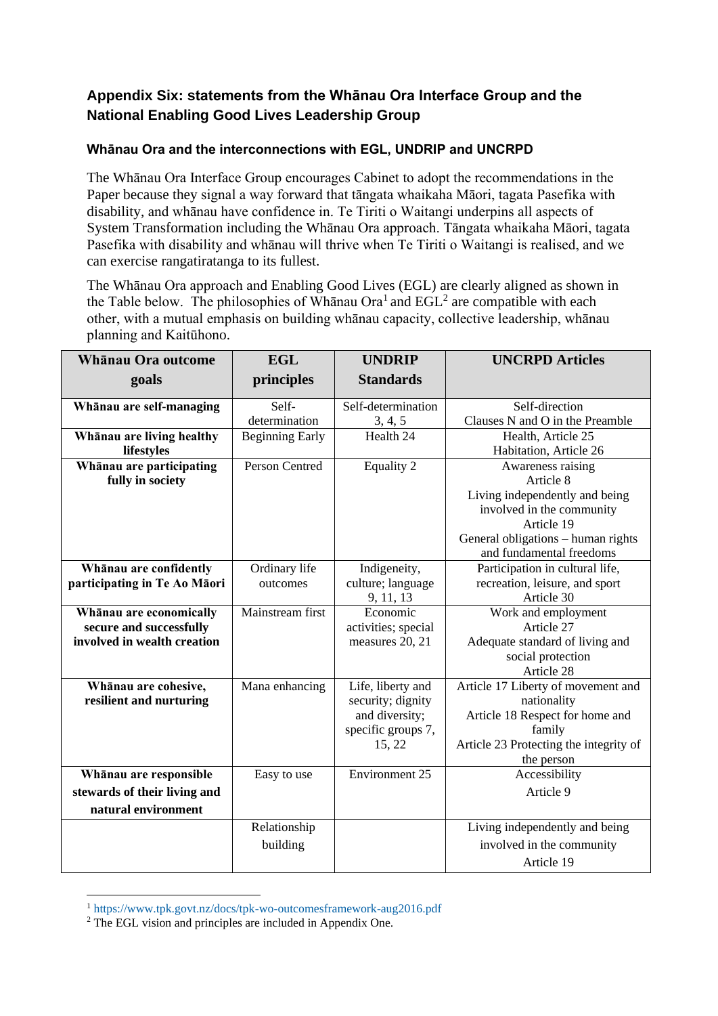## **Appendix Six: statements from the Whānau Ora Interface Group and the National Enabling Good Lives Leadership Group**

## **Whānau Ora and the interconnections with EGL, UNDRIP and UNCRPD**

The Whānau Ora Interface Group encourages Cabinet to adopt the recommendations in the Paper because they signal a way forward that tāngata whaikaha Māori, tagata Pasefika with disability, and whānau have confidence in. Te Tiriti o Waitangi underpins all aspects of System Transformation including the Whānau Ora approach. Tāngata whaikaha Māori, tagata Pasefika with disability and whānau will thrive when Te Tiriti o Waitangi is realised, and we can exercise rangatiratanga to its fullest.

The Whānau Ora approach and Enabling Good Lives (EGL) are clearly aligned as shown in the Table below. The philosophies of Whānau Ora<sup>1</sup> and  $EGL<sup>2</sup>$  are compatible with each other, with a mutual emphasis on building whānau capacity, collective leadership, whānau planning and Kaitūhono.

| Whānau Ora outcome           | <b>EGL</b>             | <b>UNDRIP</b>       | <b>UNCRPD Articles</b>                                         |
|------------------------------|------------------------|---------------------|----------------------------------------------------------------|
| goals                        | principles             | <b>Standards</b>    |                                                                |
| Whānau are self-managing     | Self-                  | Self-determination  | Self-direction                                                 |
|                              | determination          | 3, 4, 5             | Clauses N and O in the Preamble                                |
| Whānau are living healthy    | <b>Beginning Early</b> | Health 24           | Health, Article 25                                             |
| lifestyles                   |                        |                     | Habitation, Article 26                                         |
| Whānau are participating     | <b>Person Centred</b>  | <b>Equality 2</b>   | Awareness raising                                              |
| fully in society             |                        |                     | Article 8                                                      |
|                              |                        |                     | Living independently and being                                 |
|                              |                        |                     | involved in the community                                      |
|                              |                        |                     | Article 19                                                     |
|                              |                        |                     | General obligations - human rights<br>and fundamental freedoms |
| Whānau are confidently       | Ordinary life          | Indigeneity,        | Participation in cultural life,                                |
| participating in Te Ao Māori | outcomes               | culture; language   | recreation, leisure, and sport                                 |
|                              |                        | 9, 11, 13           | Article 30                                                     |
| Whānau are economically      | Mainstream first       | Economic            | Work and employment                                            |
| secure and successfully      |                        | activities; special | Article 27                                                     |
| involved in wealth creation  |                        | measures 20, 21     | Adequate standard of living and                                |
|                              |                        |                     | social protection                                              |
|                              |                        |                     | Article 28                                                     |
| Whānau are cohesive,         | Mana enhancing         | Life, liberty and   | Article 17 Liberty of movement and                             |
| resilient and nurturing      |                        | security; dignity   | nationality                                                    |
|                              |                        | and diversity;      | Article 18 Respect for home and                                |
|                              |                        | specific groups 7,  | family                                                         |
|                              |                        | 15, 22              | Article 23 Protecting the integrity of                         |
|                              |                        |                     | the person                                                     |
| Whānau are responsible       | Easy to use            | Environment 25      | Accessibility                                                  |
| stewards of their living and |                        |                     | Article 9                                                      |
| natural environment          |                        |                     |                                                                |
|                              | Relationship           |                     | Living independently and being                                 |
|                              | building               |                     | involved in the community                                      |
|                              |                        |                     | Article 19                                                     |

<sup>1</sup> <https://www.tpk.govt.nz/docs/tpk-wo-outcomesframework-aug2016.pdf>

<sup>&</sup>lt;sup>2</sup> The EGL vision and principles are included in Appendix One.